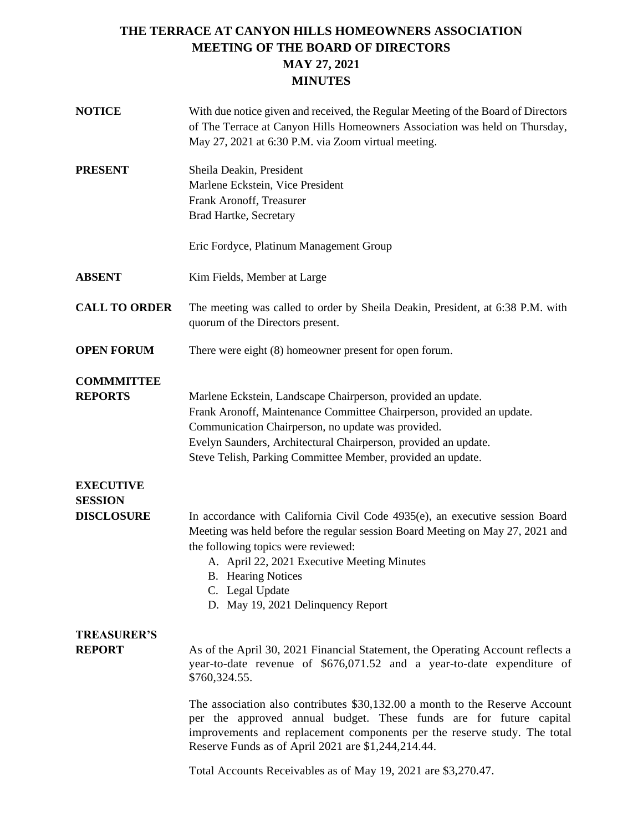## **THE TERRACE AT CANYON HILLS HOMEOWNERS ASSOCIATION MEETING OF THE BOARD OF DIRECTORS MAY 27, 2021 MINUTES**

| <b>NOTICE</b>                       | With due notice given and received, the Regular Meeting of the Board of Directors<br>of The Terrace at Canyon Hills Homeowners Association was held on Thursday,<br>May 27, 2021 at 6:30 P.M. via Zoom virtual meeting.                                                                                                                   |
|-------------------------------------|-------------------------------------------------------------------------------------------------------------------------------------------------------------------------------------------------------------------------------------------------------------------------------------------------------------------------------------------|
| <b>PRESENT</b>                      | Sheila Deakin, President<br>Marlene Eckstein, Vice President<br>Frank Aronoff, Treasurer<br>Brad Hartke, Secretary                                                                                                                                                                                                                        |
|                                     | Eric Fordyce, Platinum Management Group                                                                                                                                                                                                                                                                                                   |
| <b>ABSENT</b>                       | Kim Fields, Member at Large                                                                                                                                                                                                                                                                                                               |
| <b>CALL TO ORDER</b>                | The meeting was called to order by Sheila Deakin, President, at 6:38 P.M. with<br>quorum of the Directors present.                                                                                                                                                                                                                        |
| <b>OPEN FORUM</b>                   | There were eight $(8)$ homeowner present for open forum.                                                                                                                                                                                                                                                                                  |
| <b>COMMMITTEE</b><br><b>REPORTS</b> | Marlene Eckstein, Landscape Chairperson, provided an update.<br>Frank Aronoff, Maintenance Committee Chairperson, provided an update.<br>Communication Chairperson, no update was provided.<br>Evelyn Saunders, Architectural Chairperson, provided an update.<br>Steve Telish, Parking Committee Member, provided an update.             |
| <b>EXECUTIVE</b><br><b>SESSION</b>  |                                                                                                                                                                                                                                                                                                                                           |
| <b>DISCLOSURE</b>                   | In accordance with California Civil Code 4935(e), an executive session Board<br>Meeting was held before the regular session Board Meeting on May 27, 2021 and<br>the following topics were reviewed:<br>A. April 22, 2021 Executive Meeting Minutes<br><b>B.</b> Hearing Notices<br>C. Legal Update<br>D. May 19, 2021 Delinquency Report |
| <b>TREASURER'S</b>                  |                                                                                                                                                                                                                                                                                                                                           |
| <b>REPORT</b>                       | As of the April 30, 2021 Financial Statement, the Operating Account reflects a<br>year-to-date revenue of \$676,071.52 and a year-to-date expenditure of<br>\$760,324.55.                                                                                                                                                                 |
|                                     | The association also contributes \$30,132.00 a month to the Reserve Account<br>per the approved annual budget. These funds are for future capital<br>improvements and replacement components per the reserve study. The total<br>Reserve Funds as of April 2021 are \$1,244,214.44.                                                       |
|                                     | Total Accounts Receivables as of May 19, 2021 are \$3,270.47.                                                                                                                                                                                                                                                                             |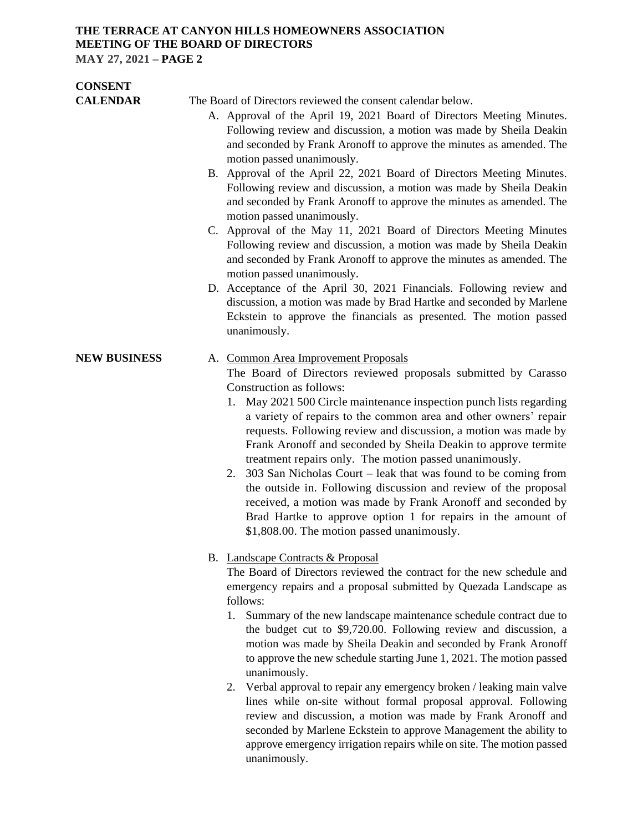#### **THE TERRACE AT CANYON HILLS HOMEOWNERS ASSOCIATION MEETING OF THE BOARD OF DIRECTORS MAY 27, 2021 – PAGE 2**

**CONSENT CALENDAR** The Board of Directors reviewed the consent calendar below. A. Approval of the April 19, 2021 Board of Directors Meeting Minutes. Following review and discussion, a motion was made by Sheila Deakin and seconded by Frank Aronoff to approve the minutes as amended. The motion passed unanimously. B. Approval of the April 22, 2021 Board of Directors Meeting Minutes. Following review and discussion, a motion was made by Sheila Deakin and seconded by Frank Aronoff to approve the minutes as amended. The motion passed unanimously. C. Approval of the May 11, 2021 Board of Directors Meeting Minutes Following review and discussion, a motion was made by Sheila Deakin and seconded by Frank Aronoff to approve the minutes as amended. The motion passed unanimously. D. Acceptance of the April 30, 2021 Financials. Following review and discussion, a motion was made by Brad Hartke and seconded by Marlene Eckstein to approve the financials as presented. The motion passed unanimously. **NEW BUSINESS** A. Common Area Improvement Proposals The Board of Directors reviewed proposals submitted by Carasso Construction as follows: 1. May 2021 500 Circle maintenance inspection punch lists regarding a variety of repairs to the common area and other owners' repair requests. Following review and discussion, a motion was made by Frank Aronoff and seconded by Sheila Deakin to approve termite treatment repairs only. The motion passed unanimously. 2. 303 San Nicholas Court – leak that was found to be coming from the outside in. Following discussion and review of the proposal received, a motion was made by Frank Aronoff and seconded by Brad Hartke to approve option 1 for repairs in the amount of \$1,808.00. The motion passed unanimously. B. Landscape Contracts & Proposal The Board of Directors reviewed the contract for the new schedule and emergency repairs and a proposal submitted by Quezada Landscape as follows: 1. Summary of the new landscape maintenance schedule contract due to the budget cut to \$9,720.00. Following review and discussion, a motion was made by Sheila Deakin and seconded by Frank Aronoff to approve the new schedule starting June 1, 2021. The motion passed

unanimously.

2. Verbal approval to repair any emergency broken / leaking main valve lines while on-site without formal proposal approval. Following review and discussion, a motion was made by Frank Aronoff and seconded by Marlene Eckstein to approve Management the ability to approve emergency irrigation repairs while on site. The motion passed unanimously.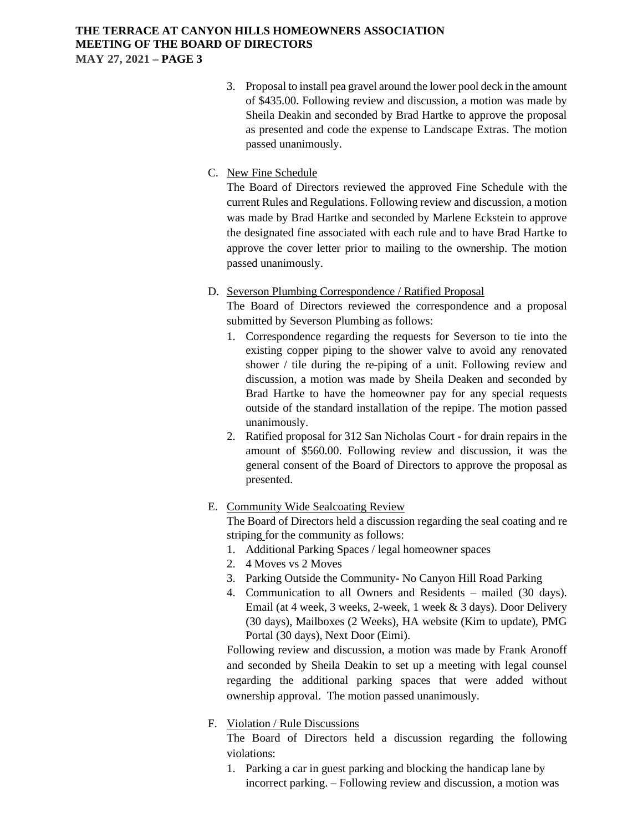# **THE TERRACE AT CANYON HILLS HOMEOWNERS ASSOCIATION MEETING OF THE BOARD OF DIRECTORS**

**MAY 27, 2021 – PAGE 3**

3. Proposal to install pea gravel around the lower pool deck in the amount of \$435.00. Following review and discussion, a motion was made by Sheila Deakin and seconded by Brad Hartke to approve the proposal as presented and code the expense to Landscape Extras. The motion passed unanimously.

### C. New Fine Schedule

The Board of Directors reviewed the approved Fine Schedule with the current Rules and Regulations. Following review and discussion, a motion was made by Brad Hartke and seconded by Marlene Eckstein to approve the designated fine associated with each rule and to have Brad Hartke to approve the cover letter prior to mailing to the ownership. The motion passed unanimously.

D. Severson Plumbing Correspondence / Ratified Proposal

The Board of Directors reviewed the correspondence and a proposal submitted by Severson Plumbing as follows:

- 1. Correspondence regarding the requests for Severson to tie into the existing copper piping to the shower valve to avoid any renovated shower / tile during the re-piping of a unit. Following review and discussion, a motion was made by Sheila Deaken and seconded by Brad Hartke to have the homeowner pay for any special requests outside of the standard installation of the repipe. The motion passed unanimously.
- 2. Ratified proposal for 312 San Nicholas Court for drain repairs in the amount of \$560.00. Following review and discussion, it was the general consent of the Board of Directors to approve the proposal as presented.
- E. Community Wide Sealcoating Review

The Board of Directors held a discussion regarding the seal coating and re striping for the community as follows:

- 1. Additional Parking Spaces / legal homeowner spaces
- 2. 4 Moves vs 2 Moves
- 3. Parking Outside the Community- No Canyon Hill Road Parking
- 4. Communication to all Owners and Residents mailed (30 days). Email (at 4 week, 3 weeks, 2-week, 1 week & 3 days). Door Delivery (30 days), Mailboxes (2 Weeks), HA website (Kim to update), PMG Portal (30 days), Next Door (Eimi).

Following review and discussion, a motion was made by Frank Aronoff and seconded by Sheila Deakin to set up a meeting with legal counsel regarding the additional parking spaces that were added without ownership approval. The motion passed unanimously.

## F. Violation / Rule Discussions

The Board of Directors held a discussion regarding the following violations:

1. Parking a car in guest parking and blocking the handicap lane by incorrect parking. – Following review and discussion, a motion was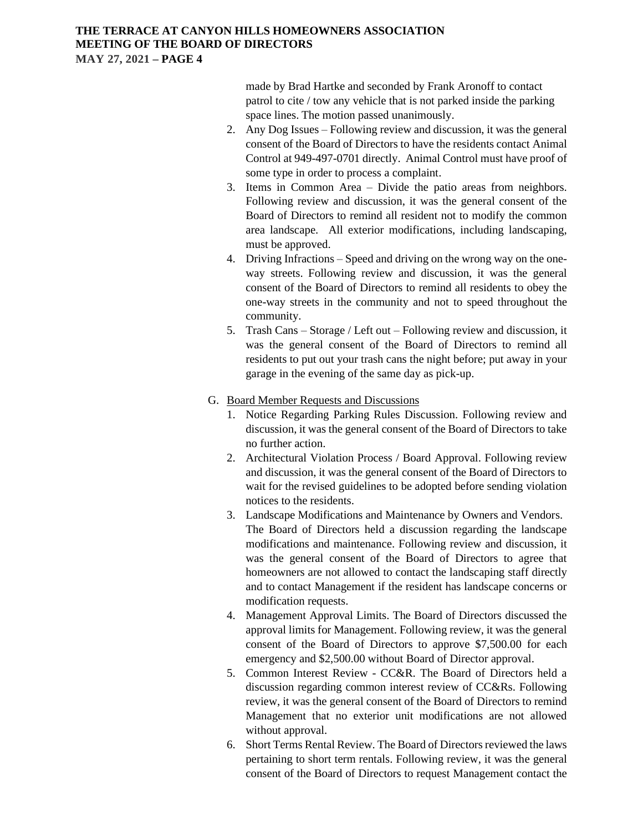#### **THE TERRACE AT CANYON HILLS HOMEOWNERS ASSOCIATION MEETING OF THE BOARD OF DIRECTORS MAY 27, 2021 – PAGE 4**

made by Brad Hartke and seconded by Frank Aronoff to contact patrol to cite / tow any vehicle that is not parked inside the parking space lines. The motion passed unanimously.

- 2. Any Dog Issues Following review and discussion, it was the general consent of the Board of Directors to have the residents contact Animal Control at 949-497-0701 directly. Animal Control must have proof of some type in order to process a complaint.
- 3. Items in Common Area Divide the patio areas from neighbors. Following review and discussion, it was the general consent of the Board of Directors to remind all resident not to modify the common area landscape. All exterior modifications, including landscaping, must be approved.
- 4. Driving Infractions Speed and driving on the wrong way on the oneway streets. Following review and discussion, it was the general consent of the Board of Directors to remind all residents to obey the one-way streets in the community and not to speed throughout the community.
- 5. Trash Cans Storage / Left out Following review and discussion, it was the general consent of the Board of Directors to remind all residents to put out your trash cans the night before; put away in your garage in the evening of the same day as pick-up.
- G. Board Member Requests and Discussions
	- 1. Notice Regarding Parking Rules Discussion. Following review and discussion, it was the general consent of the Board of Directors to take no further action.
	- 2. Architectural Violation Process / Board Approval. Following review and discussion, it was the general consent of the Board of Directors to wait for the revised guidelines to be adopted before sending violation notices to the residents.
	- 3. Landscape Modifications and Maintenance by Owners and Vendors. The Board of Directors held a discussion regarding the landscape modifications and maintenance. Following review and discussion, it was the general consent of the Board of Directors to agree that homeowners are not allowed to contact the landscaping staff directly and to contact Management if the resident has landscape concerns or modification requests.
	- 4. Management Approval Limits. The Board of Directors discussed the approval limits for Management. Following review, it was the general consent of the Board of Directors to approve \$7,500.00 for each emergency and \$2,500.00 without Board of Director approval.
	- 5. Common Interest Review CC&R. The Board of Directors held a discussion regarding common interest review of CC&Rs. Following review, it was the general consent of the Board of Directors to remind Management that no exterior unit modifications are not allowed without approval.
	- 6. Short Terms Rental Review. The Board of Directors reviewed the laws pertaining to short term rentals. Following review, it was the general consent of the Board of Directors to request Management contact the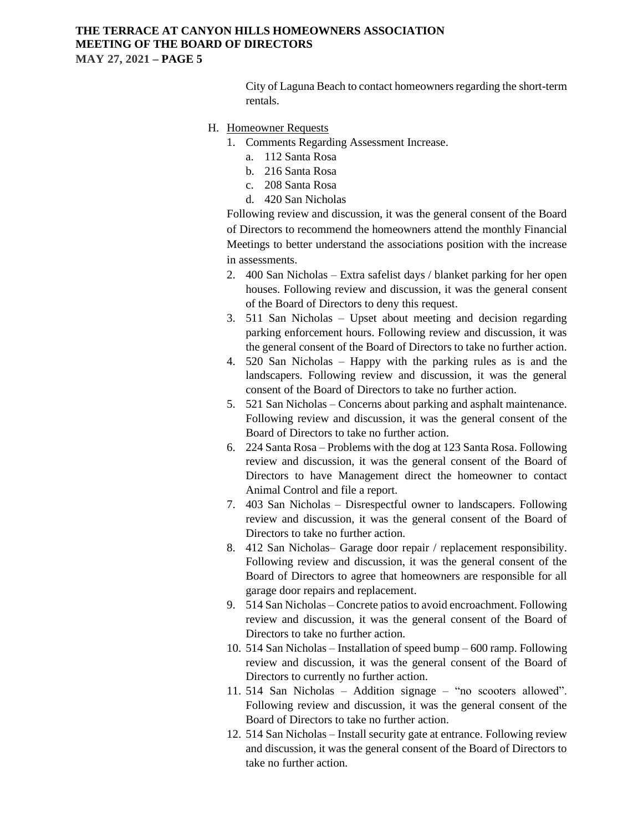#### **THE TERRACE AT CANYON HILLS HOMEOWNERS ASSOCIATION MEETING OF THE BOARD OF DIRECTORS MAY 27, 2021 – PAGE 5**

City of Laguna Beach to contact homeowners regarding the short-term rentals.

#### H. Homeowner Requests

- 1. Comments Regarding Assessment Increase.
	- a. 112 Santa Rosa
	- b. 216 Santa Rosa
	- c. 208 Santa Rosa
	- d. 420 San Nicholas

Following review and discussion, it was the general consent of the Board of Directors to recommend the homeowners attend the monthly Financial Meetings to better understand the associations position with the increase in assessments.

- 2. 400 San Nicholas Extra safelist days / blanket parking for her open houses. Following review and discussion, it was the general consent of the Board of Directors to deny this request.
- 3. 511 San Nicholas Upset about meeting and decision regarding parking enforcement hours. Following review and discussion, it was the general consent of the Board of Directors to take no further action.
- 4. 520 San Nicholas Happy with the parking rules as is and the landscapers. Following review and discussion, it was the general consent of the Board of Directors to take no further action.
- 5. 521 San Nicholas Concerns about parking and asphalt maintenance. Following review and discussion, it was the general consent of the Board of Directors to take no further action.
- 6. 224 Santa Rosa Problems with the dog at 123 Santa Rosa. Following review and discussion, it was the general consent of the Board of Directors to have Management direct the homeowner to contact Animal Control and file a report.
- 7. 403 San Nicholas Disrespectful owner to landscapers. Following review and discussion, it was the general consent of the Board of Directors to take no further action.
- 8. 412 San Nicholas– Garage door repair / replacement responsibility. Following review and discussion, it was the general consent of the Board of Directors to agree that homeowners are responsible for all garage door repairs and replacement.
- 9. 514 San Nicholas Concrete patios to avoid encroachment. Following review and discussion, it was the general consent of the Board of Directors to take no further action.
- 10. 514 San Nicholas Installation of speed bump 600 ramp. Following review and discussion, it was the general consent of the Board of Directors to currently no further action.
- 11. 514 San Nicholas Addition signage "no scooters allowed". Following review and discussion, it was the general consent of the Board of Directors to take no further action.
- 12. 514 San Nicholas Install security gate at entrance. Following review and discussion, it was the general consent of the Board of Directors to take no further action.